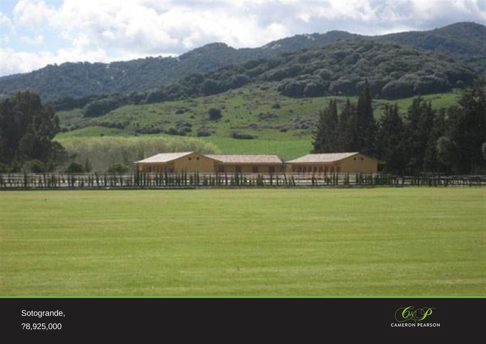



Sotogrande, ?8,925,000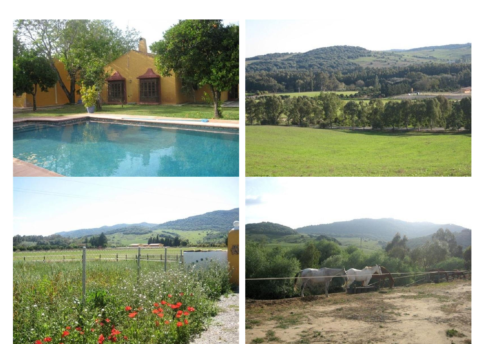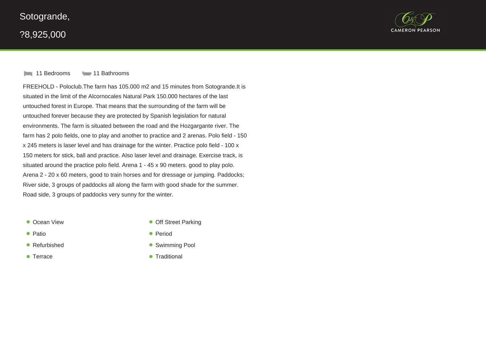

?8,925,000

## 11 Bedrooms 11 Bathrooms

FREEHOLD - Poloclub.The farm has 105.000 m2 and 15 minutes from Sotogrande.It is situated in the limit of the Alcornocales Natural Park 150.000 hectares of the last untouched forest in Europe. That means that the surrounding of the farm will be untouched forever because they are protected by Spanish legislation for natural environments. The farm is situated between the road and the Hozgargante river. The farm has 2 polo fields, one to play and another to practice and 2 arenas. Polo field - 150 x 245 meters is laser level and has drainage for the winter. Practice polo field - 100 x 150 meters for stick, ball and practice. Also laser level and drainage. Exercise track, is situated around the practice polo field. Arena 1 - 45 x 90 meters. good to play polo. Arena 2 - 20 x 60 meters, good to train horses and for dressage or jumping. Paddocks; River side, 3 groups of paddocks all along the farm with good shade for the summer. Road side, 3 groups of paddocks very sunny for the winter.

• Ocean View

- **Off Street Parking**
- Patio Period  $\bullet$  Patio
- Refurbished
- Terrace  $\bullet$
- 
- **C** Swimming Pool
- Terrace Traditional